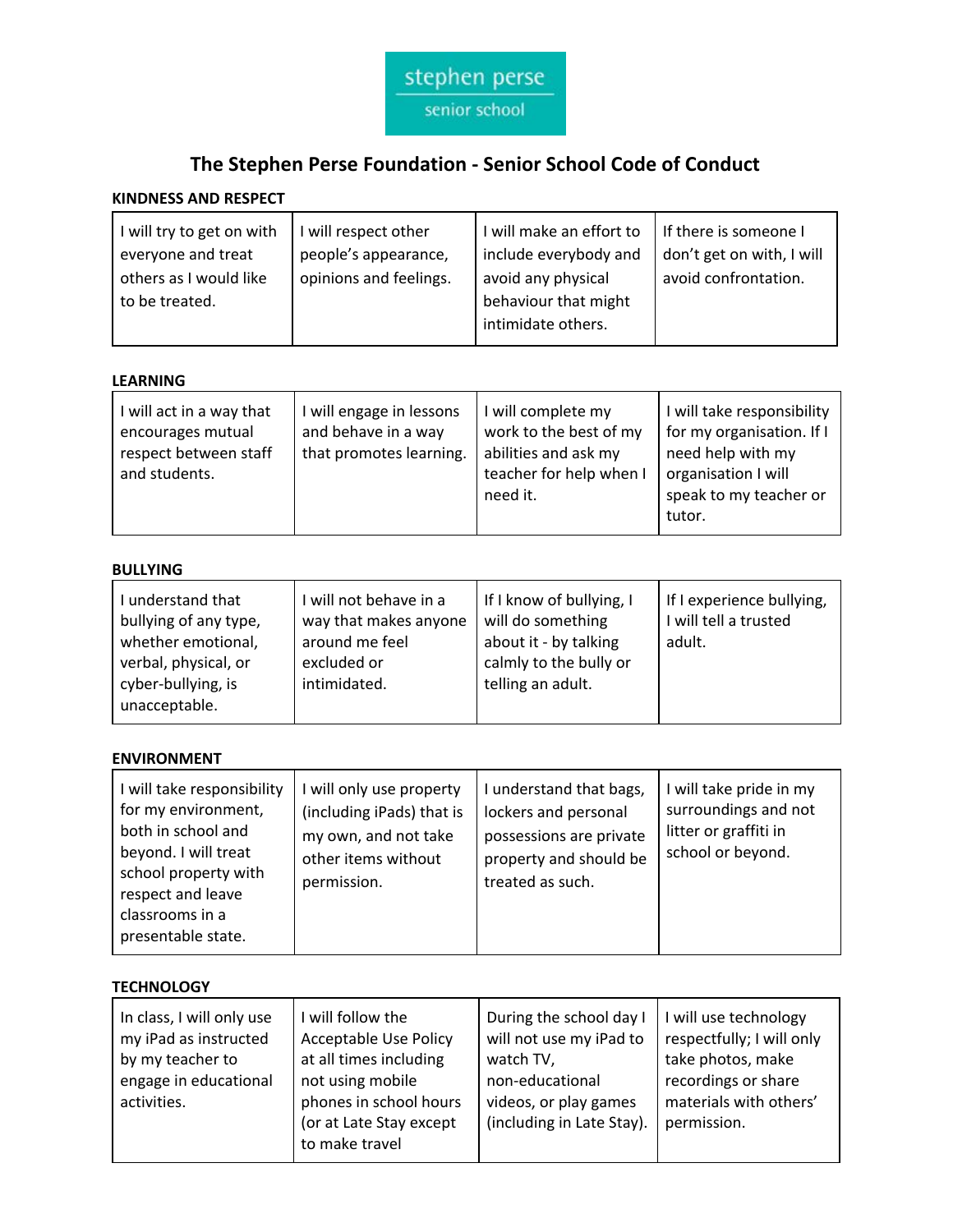

# **The Stephen Perse Foundation - Senior School Code of Conduct**

# **KINDNESS AND RESPECT**

| will try to get on with<br>everyone and treat<br>others as I would like<br>to be treated. | I will respect other<br>people's appearance,<br>opinions and feelings. | I will make an effort to<br>include everybody and<br>avoid any physical<br>behaviour that might<br>intimidate others. | If there is someone I<br>don't get on with, I will<br>avoid confrontation. |
|-------------------------------------------------------------------------------------------|------------------------------------------------------------------------|-----------------------------------------------------------------------------------------------------------------------|----------------------------------------------------------------------------|
|-------------------------------------------------------------------------------------------|------------------------------------------------------------------------|-----------------------------------------------------------------------------------------------------------------------|----------------------------------------------------------------------------|

## **LEARNING**

| will act in a way that<br>encourages mutual<br>respect between staff<br>and students. | I will engage in lessons<br>and behave in a way<br>that promotes learning. | I will complete my<br>work to the best of my<br>abilities and ask my<br>teacher for help when I<br>need it. | I will take responsibility<br>for my organisation. If I<br>need help with my<br>organisation I will<br>speak to my teacher or<br>tutor. |
|---------------------------------------------------------------------------------------|----------------------------------------------------------------------------|-------------------------------------------------------------------------------------------------------------|-----------------------------------------------------------------------------------------------------------------------------------------|
|---------------------------------------------------------------------------------------|----------------------------------------------------------------------------|-------------------------------------------------------------------------------------------------------------|-----------------------------------------------------------------------------------------------------------------------------------------|

### **BULLYING**

| I understand that<br>bullying of any type,<br>whether emotional, | will not behave in a<br>way that makes anyone<br>around me feel | If I know of bullying, I<br>will do something<br>about it - by talking | If I experience bullying,<br>I will tell a trusted<br>adult. |
|------------------------------------------------------------------|-----------------------------------------------------------------|------------------------------------------------------------------------|--------------------------------------------------------------|
| verbal, physical, or                                             | excluded or                                                     | calmly to the bully or                                                 |                                                              |
| cyber-bullying, is<br>unacceptable.                              | intimidated.                                                    | telling an adult.                                                      |                                                              |

#### **ENVIRONMENT**

| will take responsibility<br>for my environment,<br>both in school and<br>beyond. I will treat<br>school property with<br>respect and leave<br>classrooms in a<br>presentable state. | I will only use property<br>(including iPads) that is<br>my own, and not take<br>other items without<br>permission. | I understand that bags,<br>lockers and personal<br>possessions are private<br>property and should be<br>treated as such. | I will take pride in my<br>surroundings and not<br>litter or graffiti in<br>school or beyond. |
|-------------------------------------------------------------------------------------------------------------------------------------------------------------------------------------|---------------------------------------------------------------------------------------------------------------------|--------------------------------------------------------------------------------------------------------------------------|-----------------------------------------------------------------------------------------------|
|-------------------------------------------------------------------------------------------------------------------------------------------------------------------------------------|---------------------------------------------------------------------------------------------------------------------|--------------------------------------------------------------------------------------------------------------------------|-----------------------------------------------------------------------------------------------|

#### **TECHNOLOGY**

| In class, I will only use<br>my iPad as instructed<br>by my teacher to<br>engage in educational<br>activities. | will follow the<br><b>Acceptable Use Policy</b><br>at all times including<br>not using mobile<br>phones in school hours<br>(or at Late Stay except<br>to make travel | During the school day I<br>will not use my iPad to<br>watch TV,<br>non-educational<br>videos, or play games<br>(including in Late Stay). | I will use technology<br>respectfully; I will only<br>take photos, make<br>recordings or share<br>materials with others'<br>permission. |
|----------------------------------------------------------------------------------------------------------------|----------------------------------------------------------------------------------------------------------------------------------------------------------------------|------------------------------------------------------------------------------------------------------------------------------------------|-----------------------------------------------------------------------------------------------------------------------------------------|
|----------------------------------------------------------------------------------------------------------------|----------------------------------------------------------------------------------------------------------------------------------------------------------------------|------------------------------------------------------------------------------------------------------------------------------------------|-----------------------------------------------------------------------------------------------------------------------------------------|